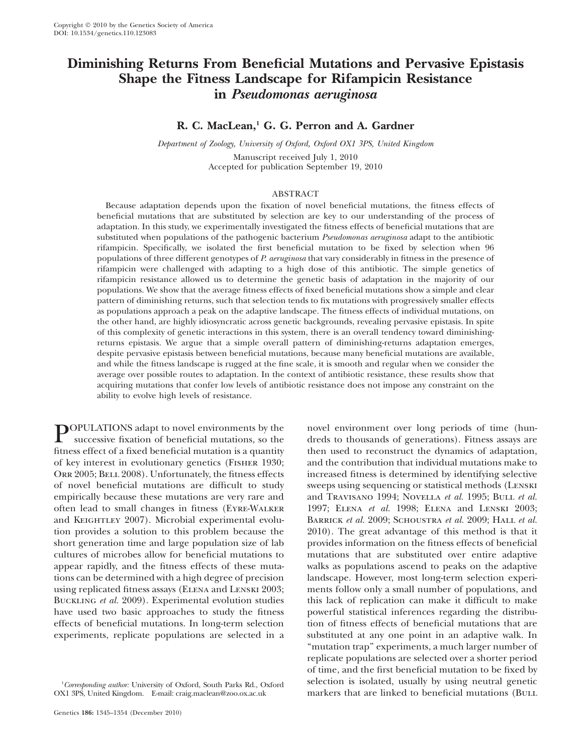# Diminishing Returns From Beneficial Mutations and Pervasive Epistasis Shape the Fitness Landscape for Rifampicin Resistance in Pseudomonas aeruginosa

# R. C. MacLean,<sup>1</sup> G. G. Perron and A. Gardner

Department of Zoology, University of Oxford, Oxford OX1 3PS, United Kingdom Manuscript received July 1, 2010 Accepted for publication September 19, 2010

## ABSTRACT

Because adaptation depends upon the fixation of novel beneficial mutations, the fitness effects of beneficial mutations that are substituted by selection are key to our understanding of the process of adaptation. In this study, we experimentally investigated the fitness effects of beneficial mutations that are substituted when populations of the pathogenic bacterium Pseudomonas aeruginosa adapt to the antibiotic rifampicin. Specifically, we isolated the first beneficial mutation to be fixed by selection when 96 populations of three different genotypes of P. aeruginosa that vary considerably in fitness in the presence of rifampicin were challenged with adapting to a high dose of this antibiotic. The simple genetics of rifampicin resistance allowed us to determine the genetic basis of adaptation in the majority of our populations. We show that the average fitness effects of fixed beneficial mutations show a simple and clear pattern of diminishing returns, such that selection tends to fix mutations with progressively smaller effects as populations approach a peak on the adaptive landscape. The fitness effects of individual mutations, on the other hand, are highly idiosyncratic across genetic backgrounds, revealing pervasive epistasis. In spite of this complexity of genetic interactions in this system, there is an overall tendency toward diminishingreturns epistasis. We argue that a simple overall pattern of diminishing-returns adaptation emerges, despite pervasive epistasis between beneficial mutations, because many beneficial mutations are available, and while the fitness landscape is rugged at the fine scale, it is smooth and regular when we consider the average over possible routes to adaptation. In the context of antibiotic resistance, these results show that acquiring mutations that confer low levels of antibiotic resistance does not impose any constraint on the ability to evolve high levels of resistance.

POPULATIONS adapt to novel environments by the successive fixation of beneficial mutations, so the fitness effect of a fixed beneficial mutation is a quantity of key interest in evolutionary genetics (Fisher 1930; ORR 2005; BELL 2008). Unfortunately, the fitness effects of novel beneficial mutations are difficult to study empirically because these mutations are very rare and often lead to small changes in fitness (Eyre-Walker and KEIGHTLEY 2007). Microbial experimental evolution provides a solution to this problem because the short generation time and large population size of lab cultures of microbes allow for beneficial mutations to appear rapidly, and the fitness effects of these mutations can be determined with a high degree of precision using replicated fitness assays (Elena and Lenski 2003; BUCKLING et al. 2009). Experimental evolution studies have used two basic approaches to study the fitness effects of beneficial mutations. In long-term selection experiments, replicate populations are selected in a

novel environment over long periods of time (hundreds to thousands of generations). Fitness assays are then used to reconstruct the dynamics of adaptation, and the contribution that individual mutations make to increased fitness is determined by identifying selective sweeps using sequencing or statistical methods (Lenski and Travisano 1994; Novella et al. 1995; Bull et al. 1997; Elena et al. 1998; Elena and Lenski 2003; BARRICK et al. 2009; SCHOUSTRA et al. 2009; HALL et al. 2010). The great advantage of this method is that it provides information on the fitness effects of beneficial mutations that are substituted over entire adaptive walks as populations ascend to peaks on the adaptive landscape. However, most long-term selection experiments follow only a small number of populations, and this lack of replication can make it difficult to make powerful statistical inferences regarding the distribution of fitness effects of beneficial mutations that are substituted at any one point in an adaptive walk. In ''mutation trap'' experiments, a much larger number of replicate populations are selected over a shorter period of time, and the first beneficial mutation to be fixed by selection is isolated, usually by using neutral genetic markers that are linked to beneficial mutations (BULL

<sup>&</sup>lt;sup>1</sup>Corresponding author: University of Oxford, South Parks Rd., Oxford OX1 3PS, United Kingdom. E-mail: craig.maclean@zoo.ox.ac.uk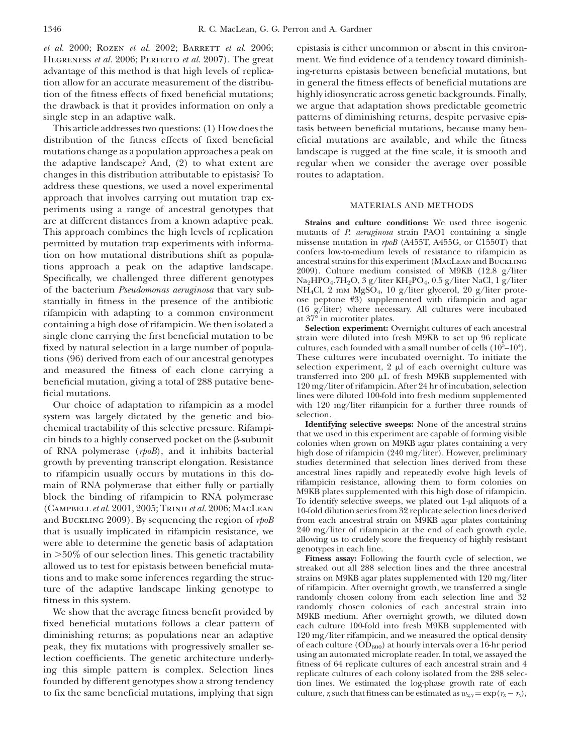et al. 2000; ROZEN et al. 2002; BARRETT et al. 2006; HEGRENESS *et al.* 2006; PERFEITO *et al.* 2007). The great advantage of this method is that high levels of replication allow for an accurate measurement of the distribution of the fitness effects of fixed beneficial mutations; the drawback is that it provides information on only a single step in an adaptive walk.

This article addresses two questions: (1) How does the distribution of the fitness effects of fixed beneficial mutations change as a population approaches a peak on the adaptive landscape? And, (2) to what extent are changes in this distribution attributable to epistasis? To address these questions, we used a novel experimental approach that involves carrying out mutation trap experiments using a range of ancestral genotypes that are at different distances from a known adaptive peak. This approach combines the high levels of replication permitted by mutation trap experiments with information on how mutational distributions shift as populations approach a peak on the adaptive landscape. Specifically, we challenged three different genotypes of the bacterium Pseudomonas aeruginosa that vary substantially in fitness in the presence of the antibiotic rifampicin with adapting to a common environment containing a high dose of rifampicin. We then isolated a single clone carrying the first beneficial mutation to be fixed by natural selection in a large number of populations (96) derived from each of our ancestral genotypes and measured the fitness of each clone carrying a beneficial mutation, giving a total of 288 putative beneficial mutations.

Our choice of adaptation to rifampicin as a model system was largely dictated by the genetic and biochemical tractability of this selective pressure. Rifampicin binds to a highly conserved pocket on the  $\beta$ -subunit of RNA polymerase (rpoB), and it inhibits bacterial growth by preventing transcript elongation. Resistance to rifampicin usually occurs by mutations in this domain of RNA polymerase that either fully or partially block the binding of rifampicin to RNA polymerase (Campbell et al. 2001, 2005; Trinh et al. 2006; MacLean and Buckling 2009). By sequencing the region of rpoB that is usually implicated in rifampicin resistance, we were able to determine the genetic basis of adaptation  $in$   $>50\%$  of our selection lines. This genetic tractability allowed us to test for epistasis between beneficial mutations and to make some inferences regarding the structure of the adaptive landscape linking genotype to fitness in this system.

We show that the average fitness benefit provided by fixed beneficial mutations follows a clear pattern of diminishing returns; as populations near an adaptive peak, they fix mutations with progressively smaller selection coefficients. The genetic architecture underlying this simple pattern is complex. Selection lines founded by different genotypes show a strong tendency to fix the same beneficial mutations, implying that sign epistasis is either uncommon or absent in this environment. We find evidence of a tendency toward diminishing-returns epistasis between beneficial mutations, but in general the fitness effects of beneficial mutations are highly idiosyncratic across genetic backgrounds. Finally, we argue that adaptation shows predictable geometric patterns of diminishing returns, despite pervasive epistasis between beneficial mutations, because many beneficial mutations are available, and while the fitness landscape is rugged at the fine scale, it is smooth and regular when we consider the average over possible routes to adaptation.

### MATERIALS AND METHODS

Strains and culture conditions: We used three isogenic mutants of *P. aeruginosa* strain PAO1 containing a single missense mutation in rpoB (A455T, A455G, or C1550T) that confers low-to-medium levels of resistance to rifampicin as ancestral strains for this experiment (MacLean and Buckling 2009). Culture medium consisted of M9KB (12.8 g/liter Na<sub>2</sub>HPO<sub>4</sub>.7H<sub>2</sub>O, 3 g/liter KH<sub>2</sub>PO<sub>4</sub>, 0.5 g/liter NaCl, 1 g/liter NH4Cl, 2 mm MgSO4, 10 g/liter glycerol, 20 g/liter proteose peptone #3) supplemented with rifampicin and agar (16 g/liter) where necessary. All cultures were incubated at  $37^\circ$  in microtiter plates.

Selection experiment: Overnight cultures of each ancestral strain were diluted into fresh M9KB to set up 96 replicate cultures, each founded with a small number of cells  $(10^3-10^4)$ . These cultures were incubated overnight. To initiate the selection experiment,  $2 \mu$  of each overnight culture was transferred into 200 mL of fresh M9KB supplemented with 120 mg/liter of rifampicin. After 24 hr of incubation, selection lines were diluted 100-fold into fresh medium supplemented with 120 mg/liter rifampicin for a further three rounds of selection.

Identifying selective sweeps: None of the ancestral strains that we used in this experiment are capable of forming visible colonies when grown on M9KB agar plates containing a very high dose of rifampicin (240 mg/liter). However, preliminary studies determined that selection lines derived from these ancestral lines rapidly and repeatedly evolve high levels of rifampicin resistance, allowing them to form colonies on M9KB plates supplemented with this high dose of rifampicin. To identify selective sweeps, we plated out 1-µl aliquots of a 10-fold dilution series from 32 replicate selection lines derived from each ancestral strain on M9KB agar plates containing 240 mg/liter of rifampicin at the end of each growth cycle, allowing us to crudely score the frequency of highly resistant genotypes in each line.

Fitness assay: Following the fourth cycle of selection, we streaked out all 288 selection lines and the three ancestral strains on M9KB agar plates supplemented with 120 mg/liter of rifampicin. After overnight growth, we transferred a single randomly chosen colony from each selection line and 32 randomly chosen colonies of each ancestral strain into M9KB medium. After overnight growth, we diluted down each culture 100-fold into fresh M9KB supplemented with 120 mg/liter rifampicin, and we measured the optical density of each culture  $OD_{600}$  at hourly intervals over a 16-hr period using an automated microplate reader. In total, we assayed the fitness of 64 replicate cultures of each ancestral strain and 4 replicate cultures of each colony isolated from the 288 selection lines. We estimated the log-phase growth rate of each culture, *r*, such that fitness can be estimated as  $w_{x,y} = \exp(r_x - r_y)$ ,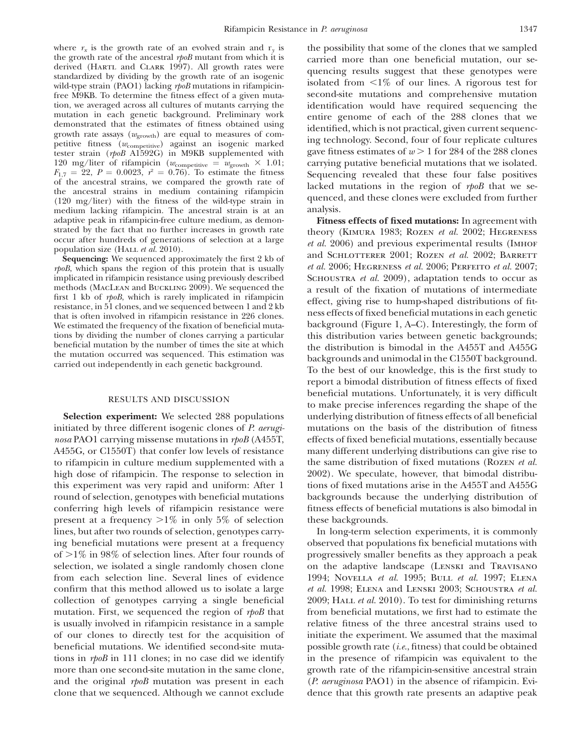where  $r_x$  is the growth rate of an evolved strain and  $r_y$  is the growth rate of the ancestral rpoB mutant from which it is derived (HARTL and CLARK 1997). All growth rates were standardized by dividing by the growth rate of an isogenic wild-type strain (PAO1) lacking rpoB mutations in rifampicinfree M9KB. To determine the fitness effect of a given mutation, we averaged across all cultures of mutants carrying the mutation in each genetic background. Preliminary work demonstrated that the estimates of fitness obtained using growth rate assays ( $w_{\text{growth}}$ ) are equal to measures of competitive fitness  $(w_{\text{competitive}})$  against an isogenic marked tester strain (rpoB A1592G) in M9KB supplemented with 120 mg/liter of rifampicin ( $w_{\text{competitive}} = w_{\text{growth}} \times 1.01$ ;  $F_{1,7} = 22, P = 0.0023, r^2 = 0.76$ . To estimate the fitness of the ancestral strains, we compared the growth rate of the ancestral strains in medium containing rifampicin (120 mg/liter) with the fitness of the wild-type strain in medium lacking rifampicin. The ancestral strain is at an adaptive peak in rifampicin-free culture medium, as demonstrated by the fact that no further increases in growth rate occur after hundreds of generations of selection at a large population size (HALL et al. 2010).

Sequencing: We sequenced approximately the first 2 kb of rpoB, which spans the region of this protein that is usually implicated in rifampicin resistance using previously described methods (MacLean and Buckling 2009). We sequenced the first 1 kb of rpoB, which is rarely implicated in rifampicin resistance, in 51 clones, and we sequenced between 1 and 2 kb that is often involved in rifampicin resistance in 226 clones. We estimated the frequency of the fixation of beneficial mutations by dividing the number of clones carrying a particular beneficial mutation by the number of times the site at which the mutation occurred was sequenced. This estimation was carried out independently in each genetic background.

#### RESULTS AND DISCUSSION

Selection experiment: We selected 288 populations initiated by three different isogenic clones of P. aeruginosa PAO1 carrying missense mutations in rpoB (A455T, A455G, or C1550T) that confer low levels of resistance to rifampicin in culture medium supplemented with a high dose of rifampicin. The response to selection in this experiment was very rapid and uniform: After 1 round of selection, genotypes with beneficial mutations conferring high levels of rifampicin resistance were present at a frequency  $>1\%$  in only 5% of selection lines, but after two rounds of selection, genotypes carrying beneficial mutations were present at a frequency of  $>1\%$  in 98% of selection lines. After four rounds of selection, we isolated a single randomly chosen clone from each selection line. Several lines of evidence confirm that this method allowed us to isolate a large collection of genotypes carrying a single beneficial mutation. First, we sequenced the region of rpoB that is usually involved in rifampicin resistance in a sample of our clones to directly test for the acquisition of beneficial mutations. We identified second-site mutations in rpoB in 111 clones; in no case did we identify more than one second-site mutation in the same clone, and the original rpoB mutation was present in each clone that we sequenced. Although we cannot exclude

the possibility that some of the clones that we sampled carried more than one beneficial mutation, our sequencing results suggest that these genotypes were isolated from  $\leq 1\%$  of our lines. A rigorous test for second-site mutations and comprehensive mutation identification would have required sequencing the entire genome of each of the 288 clones that we identified, which is not practical, given current sequencing technology. Second, four of four replicate cultures gave fitness estimates of  $w > 1$  for 284 of the 288 clones carrying putative beneficial mutations that we isolated. Sequencing revealed that these four false positives lacked mutations in the region of rpoB that we sequenced, and these clones were excluded from further analysis.

Fitness effects of fixed mutations: In agreement with theory (Kimura 1983; Rozen et al. 2002; Hegreness et al. 2006) and previous experimental results (IMHOF and SCHLOTTERER 2001; ROZEN et al. 2002; BARRETT et al. 2006; Hegreness et al. 2006; Perfeito et al. 2007; SCHOUSTRA *et al.* 2009), adaptation tends to occur as a result of the fixation of mutations of intermediate effect, giving rise to hump-shaped distributions of fitness effects of fixed beneficial mutations in each genetic background (Figure 1, A–C). Interestingly, the form of this distribution varies between genetic backgrounds; the distribution is bimodal in the A455T and A455G backgrounds and unimodal in the C1550T background. To the best of our knowledge, this is the first study to report a bimodal distribution of fitness effects of fixed beneficial mutations. Unfortunately, it is very difficult to make precise inferences regarding the shape of the underlying distribution of fitness effects of all beneficial mutations on the basis of the distribution of fitness effects of fixed beneficial mutations, essentially because many different underlying distributions can give rise to the same distribution of fixed mutations (Rozen et al. 2002). We speculate, however, that bimodal distributions of fixed mutations arise in the A455T and A455G backgrounds because the underlying distribution of fitness effects of beneficial mutations is also bimodal in these backgrounds.

In long-term selection experiments, it is commonly observed that populations fix beneficial mutations with progressively smaller benefits as they approach a peak on the adaptive landscape (Lenski and Travisano 1994; NOVELLA et al. 1995; BULL et al. 1997; ELENA et al. 1998; ELENA and LENSKI 2003; SCHOUSTRA et al. 2009; HALL et al. 2010). To test for diminishing returns from beneficial mutations, we first had to estimate the relative fitness of the three ancestral strains used to initiate the experiment. We assumed that the maximal possible growth rate (i.e., fitness) that could be obtained in the presence of rifampicin was equivalent to the growth rate of the rifampicin-sensitive ancestral strain (P. aeruginosa PAO1) in the absence of rifampicin. Evidence that this growth rate presents an adaptive peak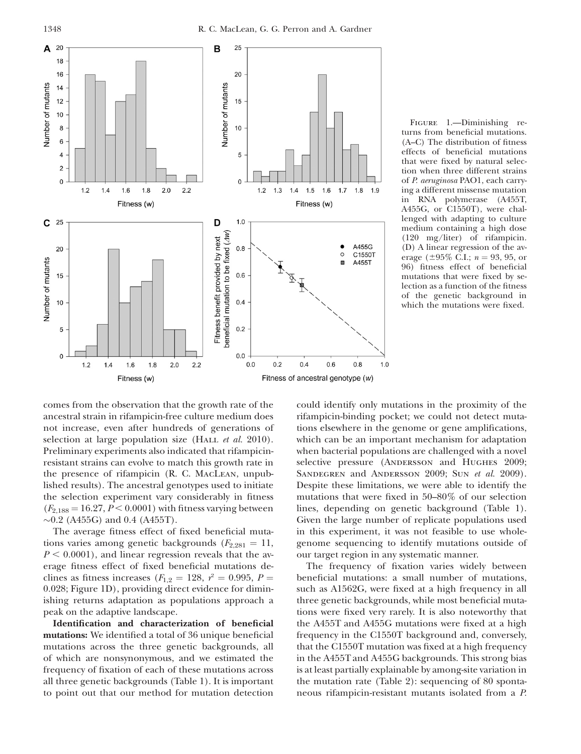

FIGURE 1.—Diminishing returns from beneficial mutations. (A–C) The distribution of fitness effects of beneficial mutations that were fixed by natural selection when three different strains of P. aeruginosa PAO1, each carrying a different missense mutation in RNA polymerase (A455T, A455G, or C1550T), were challenged with adapting to culture medium containing a high dose (120 mg/liter) of rifampicin. (D) A linear regression of the average ( $\pm 95\%$  C.I.;  $n = 93, 95$ , or 96) fitness effect of beneficial mutations that were fixed by selection as a function of the fitness of the genetic background in which the mutations were fixed.

comes from the observation that the growth rate of the ancestral strain in rifampicin-free culture medium does not increase, even after hundreds of generations of selection at large population size (HALL et al. 2010). Preliminary experiments also indicated that rifampicinresistant strains can evolve to match this growth rate in the presence of rifampicin (R. C. MacLean, unpublished results). The ancestral genotypes used to initiate the selection experiment vary considerably in fitness  $(F_{2.188} = 16.27, P < 0.0001)$  with fitness varying between  $\sim$ 0.2 (A455G) and 0.4 (A455T).

The average fitness effect of fixed beneficial mutations varies among genetic backgrounds ( $F_{2,281} = 11$ ,  $P < 0.0001$ ), and linear regression reveals that the average fitness effect of fixed beneficial mutations declines as fitness increases  $(F_{1,2} = 128, r^2 = 0.995, P =$ 0.028; Figure 1D), providing direct evidence for diminishing returns adaptation as populations approach a peak on the adaptive landscape.

Identification and characterization of beneficial mutations: We identified a total of 36 unique beneficial mutations across the three genetic backgrounds, all of which are nonsynonymous, and we estimated the frequency of fixation of each of these mutations across all three genetic backgrounds (Table 1). It is important to point out that our method for mutation detection

could identify only mutations in the proximity of the rifampicin-binding pocket; we could not detect mutations elsewhere in the genome or gene amplifications, which can be an important mechanism for adaptation when bacterial populations are challenged with a novel selective pressure (ANDERSSON and HUGHES 2009; SANDEGREN and ANDERSSON 2009; SUN et al. 2009). Despite these limitations, we were able to identify the mutations that were fixed in 50–80% of our selection lines, depending on genetic background (Table 1). Given the large number of replicate populations used in this experiment, it was not feasible to use wholegenome sequencing to identify mutations outside of our target region in any systematic manner.

The frequency of fixation varies widely between beneficial mutations: a small number of mutations, such as A1562G, were fixed at a high frequency in all three genetic backgrounds, while most beneficial mutations were fixed very rarely. It is also noteworthy that the A455T and A455G mutations were fixed at a high frequency in the C1550T background and, conversely, that the C1550T mutation was fixed at a high frequency in the A455T and A455G backgrounds. This strong bias is at least partially explainable by among-site variation in the mutation rate (Table 2): sequencing of 80 spontaneous rifampicin-resistant mutants isolated from a P.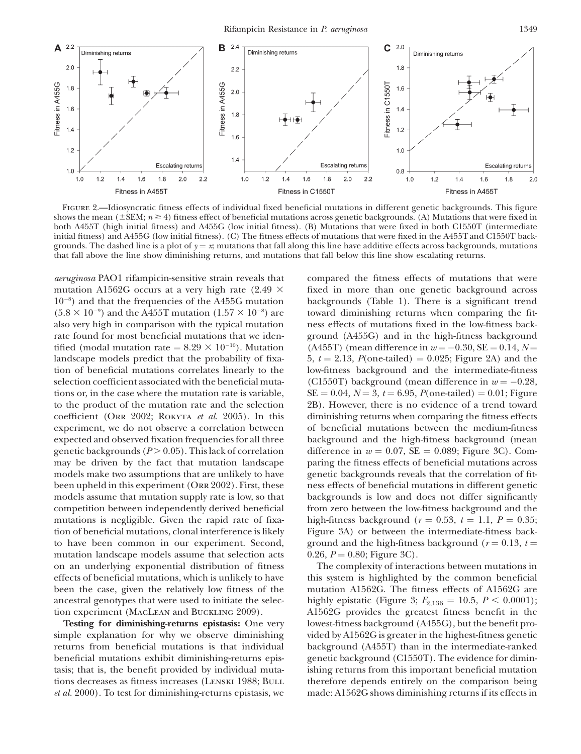

Figure 2.—Idiosyncratic fitness effects of individual fixed beneficial mutations in different genetic backgrounds. This figure shows the mean ( $\pm$ SEM;  $n \ge 4$ ) fitness effect of beneficial mutations across genetic backgrounds. (A) Mutations that were fixed in both A455T (high initial fitness) and A455G (low initial fitness). (B) Mutations that were fixed in both C1550T (intermediate initial fitness) and A455G (low initial fitness). (C) The fitness effects of mutations that were fixed in the A455T and C1550T backgrounds. The dashed line is a plot of  $y = x$ ; mutations that fall along this line have additive effects across backgrounds, mutations that fall above the line show diminishing returns, and mutations that fall below this line show escalating returns.

aeruginosa PAO1 rifampicin-sensitive strain reveals that mutation A1562G occurs at a very high rate (2.49  $\times$ 10-8 ) and that the frequencies of the A455G mutation  $(5.8 \times 10^{-9})$  and the A455T mutation  $(1.57 \times 10^{-8})$  are also very high in comparison with the typical mutation rate found for most beneficial mutations that we identified (modal mutation rate  $= 8.29 \times 10^{-10}$ ). Mutation landscape models predict that the probability of fixation of beneficial mutations correlates linearly to the selection coefficient associated with the beneficial mutations or, in the case where the mutation rate is variable, to the product of the mutation rate and the selection coefficient (ORR 2002; ROKYTA et al. 2005). In this experiment, we do not observe a correlation between expected and observed fixation frequencies for all three genetic backgrounds ( $P > 0.05$ ). This lack of correlation may be driven by the fact that mutation landscape models make two assumptions that are unlikely to have been upheld in this experiment (Orr 2002). First, these models assume that mutation supply rate is low, so that competition between independently derived beneficial mutations is negligible. Given the rapid rate of fixation of beneficial mutations, clonal interference is likely to have been common in our experiment. Second, mutation landscape models assume that selection acts on an underlying exponential distribution of fitness effects of beneficial mutations, which is unlikely to have been the case, given the relatively low fitness of the ancestral genotypes that were used to initiate the selection experiment (MacLean and Buckling 2009).

Testing for diminishing-returns epistasis: One very simple explanation for why we observe diminishing returns from beneficial mutations is that individual beneficial mutations exhibit diminishing-returns epistasis; that is, the benefit provided by individual mutations decreases as fitness increases (LENSKI 1988; BULL et al. 2000). To test for diminishing-returns epistasis, we

compared the fitness effects of mutations that were fixed in more than one genetic background across backgrounds (Table 1). There is a significant trend toward diminishing returns when comparing the fitness effects of mutations fixed in the low-fitness background (A455G) and in the high-fitness background (A455T) (mean difference in  $w = -0.30$ , SE = 0.14, N= 5,  $t = 2.13$ ,  $P(\text{one-tailed}) = 0.025$ ; Figure 2A) and the low-fitness background and the intermediate-fitness (C1550T) background (mean difference in  $w = -0.28$ ,  $SE = 0.04$ ,  $N = 3$ ,  $t = 6.95$ ,  $P(\text{one-tailed}) = 0.01$ ; Figure 2B). However, there is no evidence of a trend toward diminishing returns when comparing the fitness effects of beneficial mutations between the medium-fitness background and the high-fitness background (mean difference in  $w = 0.07$ , SE = 0.089; Figure 3C). Comparing the fitness effects of beneficial mutations across genetic backgrounds reveals that the correlation of fitness effects of beneficial mutations in different genetic backgrounds is low and does not differ significantly from zero between the low-fitness background and the high-fitness background ( $r = 0.53$ ,  $t = 1.1$ ,  $P = 0.35$ ; Figure 3A) or between the intermediate-fitness background and the high-fitness background ( $r = 0.13$ ,  $t =$ 0.26,  $P = 0.80$ ; Figure 3C).

The complexity of interactions between mutations in this system is highlighted by the common beneficial mutation A1562G. The fitness effects of A1562G are highly epistatic (Figure 3;  $F_{2,136} = 10.5, P < 0.0001$ ); A1562G provides the greatest fitness benefit in the lowest-fitness background (A455G), but the benefit provided by A1562G is greater in the highest-fitness genetic background (A455T) than in the intermediate-ranked genetic background (C1550T). The evidence for diminishing returns from this important beneficial mutation therefore depends entirely on the comparison being made: A1562G shows diminishing returns if its effects in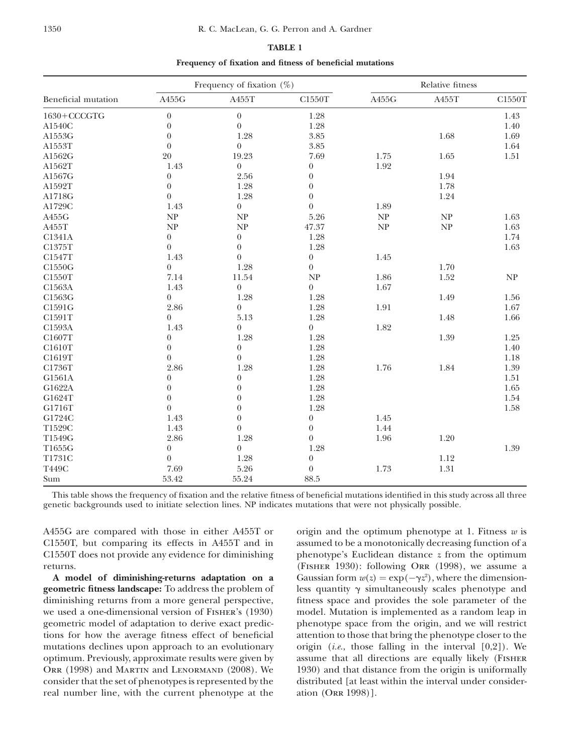| ш<br>. . |  |
|----------|--|
|----------|--|

Frequency of fixation and fitness of beneficial mutations

|                     | Frequency of fixation $(\%)$ |                  |                  | Relative fitness |                                 |          |
|---------------------|------------------------------|------------------|------------------|------------------|---------------------------------|----------|
| Beneficial mutation | A455G                        | A455T            | C1550T           | A455G            | A455T                           | C1550T   |
| 1630+CCCGTG         | $\boldsymbol{0}$             | $\boldsymbol{0}$ | 1.28             |                  |                                 | 1.43     |
| A1540C              | $\theta$                     | $\boldsymbol{0}$ | 1.28             |                  |                                 | 1.40     |
| A1553G              | $\theta$                     | 1.28             | 3.85             |                  | 1.68                            | 1.69     |
| $\rm Al553T$        | $\overline{0}$               | $\boldsymbol{0}$ | 3.85             |                  |                                 | 1.64     |
| 20<br>A1562G        |                              | 19.23            | 7.69             | 1.75             | 1.65                            | $1.51\,$ |
| A1562T              | 1.43                         | $\boldsymbol{0}$ | $\boldsymbol{0}$ | 1.92             |                                 |          |
| A1567G              | $\overline{0}$               | 2.56             | $\boldsymbol{0}$ |                  | 1.94                            |          |
| A1592T              | $\boldsymbol{0}$             | 1.28             | $\boldsymbol{0}$ |                  | 1.78                            |          |
| A1718G              | $\theta$                     | 1.28             | $\overline{0}$   |                  | 1.24                            |          |
| A1729C              | 1.43                         | $\boldsymbol{0}$ | $\boldsymbol{0}$ | 1.89             |                                 |          |
| A455G               | NP                           | NP               | 5.26             | NP               | $\ensuremath{\text{NP}}\xspace$ | 1.63     |
| A455T               | NP                           | NP               | 47.37            | NP               | $\ensuremath{\text{NP}}$        | 1.63     |
| C1341A              | $\boldsymbol{0}$             | $\boldsymbol{0}$ | 1.28             |                  |                                 | 1.74     |
| C1375T              | $\boldsymbol{0}$             | $\boldsymbol{0}$ | 1.28             |                  |                                 | 1.63     |
| C1547T              | 1.43                         | $\boldsymbol{0}$ | $\boldsymbol{0}$ | 1.45             |                                 |          |
| C1550G              | $\boldsymbol{0}$             | 1.28             | $\boldsymbol{0}$ |                  | 1.70                            |          |
| C1550T              | 7.14                         | 11.54            | NP               | 1.86             | 1.52                            | NP       |
| C1563A              | 1.43                         | $\overline{0}$   | $\theta$         | 1.67             |                                 |          |
| C1563G              | $\overline{0}$               | 1.28             | 1.28             |                  | 1.49                            | 1.56     |
| C1591G              | 2.86                         | $\boldsymbol{0}$ | 1.28             | 1.91             |                                 | 1.67     |
| C1591T              | $\boldsymbol{0}$             | 5.13             | 1.28             |                  | 1.48                            | 1.66     |
| C1593A              | 1.43                         | $\boldsymbol{0}$ | $\boldsymbol{0}$ | 1.82             |                                 |          |
| C1607T              | $\boldsymbol{0}$             | 1.28             | 1.28             |                  | 1.39                            | 1.25     |
| C1610T              | $\boldsymbol{0}$             | $\boldsymbol{0}$ | 1.28             |                  |                                 | 1.40     |
| C1619T              | $\overline{0}$               | $\boldsymbol{0}$ | 1.28             |                  |                                 | 1.18     |
| C1736T              | 2.86                         | 1.28             | 1.28             | 1.76             | 1.84                            | 1.39     |
| G1561A              | $\overline{0}$               | $\boldsymbol{0}$ | 1.28             |                  |                                 | 1.51     |
| G1622A              | $\overline{0}$               | $\boldsymbol{0}$ | 1.28             |                  |                                 | 1.65     |
| G1624T              | $\overline{0}$               | $\boldsymbol{0}$ | 1.28             |                  |                                 | 1.54     |
| G1716T              | $\theta$                     | $\boldsymbol{0}$ | 1.28             |                  |                                 | 1.58     |
| G1724C              | 1.43                         | $\boldsymbol{0}$ | $\boldsymbol{0}$ | 1.45             |                                 |          |
| T1529C              | 1.43                         | $\boldsymbol{0}$ | $\boldsymbol{0}$ | 1.44             |                                 |          |
| T1549G              | 2.86                         | 1.28             | $\overline{0}$   | 1.96             | 1.20                            |          |
| T1655G              | $\boldsymbol{0}$             | $\boldsymbol{0}$ | 1.28             |                  |                                 | 1.39     |
| T1731C              | $\overline{0}$               | 1.28             | $\boldsymbol{0}$ |                  | 1.12                            |          |
| T449C               | 7.69                         | 5.26             | $\theta$         | 1.73             | 1.31                            |          |
| Sum                 | 53.42                        | 55.24            | 88.5             |                  |                                 |          |

This table shows the frequency of fixation and the relative fitness of beneficial mutations identified in this study across all three genetic backgrounds used to initiate selection lines. NP indicates mutations that were not physically possible.

A455G are compared with those in either A455T or C1550T, but comparing its effects in A455T and in C1550T does not provide any evidence for diminishing returns.

A model of diminishing-returns adaptation on a geometric fitness landscape: To address the problem of diminishing returns from a more general perspective, we used a one-dimensional version of Fisher's (1930) geometric model of adaptation to derive exact predictions for how the average fitness effect of beneficial mutations declines upon approach to an evolutionary optimum. Previously, approximate results were given by Orr (1998) and Martin and Lenormand (2008). We consider that the set of phenotypes is represented by the real number line, with the current phenotype at the origin and the optimum phenotype at 1. Fitness  $w$  is assumed to be a monotonically decreasing function of a phenotype's Euclidean distance z from the optimum (Fisher 1930): following Orr (1998), we assume a Gaussian form  $w(z) = \exp(-\gamma z^2)$ , where the dimensionless quantity  $\gamma$  simultaneously scales phenotype and fitness space and provides the sole parameter of the model. Mutation is implemented as a random leap in phenotype space from the origin, and we will restrict attention to those that bring the phenotype closer to the origin (*i.e.*, those falling in the interval  $[0,2]$ ). We assume that all directions are equally likely (Fisher 1930) and that distance from the origin is uniformally distributed [at least within the interval under consideration (Orr 1998)].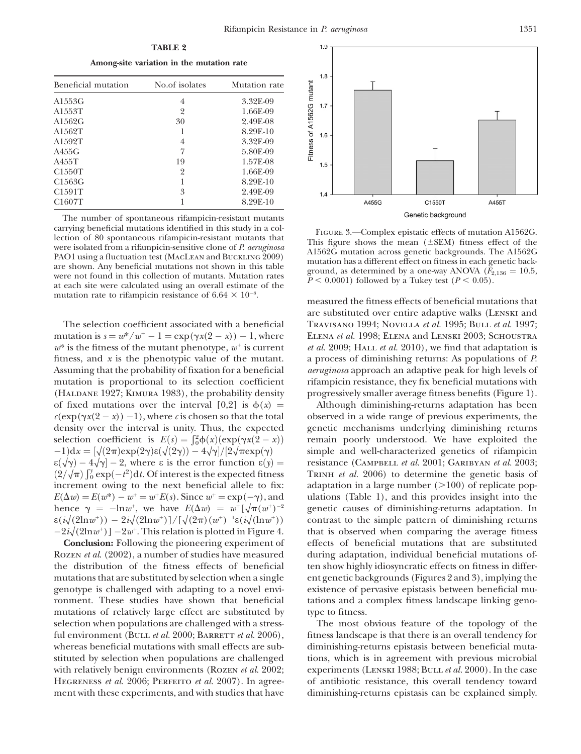TABLE 2 Among-site variation in the mutation rate

| ີ                   |                |               |
|---------------------|----------------|---------------|
| Beneficial mutation | No.of isolates | Mutation rate |
| A1553G              | 4              | 3.32E-09      |
| A1553T              | 2              | 1.66E-09      |
| A1562G              | 30             | 2.49E-08      |
| A1562T              |                | 8.29E-10      |
| A1592T              | 4              | 3.32E-09      |
| A455G               | 7              | 5.80E-09      |
| A455T               | 19             | 1.57E-08      |
| C <sub>1550</sub> T | 2              | 1.66E-09      |
| C <sub>1563</sub> G |                | 8.29E-10      |
| C <sub>1591</sub> T | 3              | 2.49E-09      |
| C <sub>160</sub> 7T |                | 8.29E-10      |
|                     |                |               |

The number of spontaneous rifampicin-resistant mutants carrying beneficial mutations identified in this study in a collection of 80 spontaneous rifampicin-resistant mutants that were isolated from a rifampicin-sensitive clone of P. aeruginosa PAO1 using a fluctuation test (MACLEAN and BUCKLING 2009) are shown. Any beneficial mutations not shown in this table were not found in this collection of mutants. Mutation rates at each site were calculated using an overall estimate of the mutation rate to rifampicin resistance of  $6.64 \times 10^{-8}$ .

The selection coefficient associated with a beneficial mutation is  $s = w^*/w^+ - 1 = \exp(\gamma x(2 - x)) - 1$ , where  $w^*$  is the fitness of the mutant phenotype,  $w^*$  is current fitness, and  $x$  is the phenotypic value of the mutant. Assuming that the probability of fixation for a beneficial mutation is proportional to its selection coefficient (Haldane 1927; Kimura 1983), the probability density of fixed mutations over the interval [0,2] is  $\phi(x)$  =  $c(\exp(\gamma x(2 - x)) - 1)$ , where c is chosen so that the total density over the interval is unity. Thus, the expected selection coefficient is  $E(s) = \int_0^2 \phi(x) (\exp(\gamma x(2 - x)))$  $(-1)dx = \left[\sqrt{(2\pi)}\exp(2\gamma)\epsilon(\sqrt{(2\gamma)}) - 4\sqrt{\gamma}\right]/[2\sqrt{\pi}\exp(\gamma)]$  $\varepsilon(\sqrt{\gamma}) - 4\sqrt{\gamma} - 2$ , where  $\varepsilon$  is the error function  $\varepsilon(y) =$ <br>(9 /  $\sigma$ )  $\mathbb{S}^y$  and  $\mathbb{S}^2$  dt Of interest is the expected fitness  $(2/\sqrt{\pi})\int_0^y \exp(-t^2) \mathrm{d}t$ . Of interest is the expected fitness increment owing to the next beneficial allele to fix:  $E(\Delta w) = E(w^*) - w^+ = w^* E(s)$ . Since  $w^+ = \exp(-\gamma)$ , and hence  $\gamma = -\ln w^+$ , we have  $E(\Delta w) = w^+[\sqrt{\pi (w^+)^{-2}}]$  $\varepsilon(i\sqrt{(2{\rm ln}w^+)}) - 2i\sqrt{(2{\rm ln}w^+)}]/[\sqrt{(2\pi)}(w^+)^{-1}\varepsilon(i\sqrt{(\rm ln}w^+))]$  $-2i\sqrt{(2\ln w^+)}$  ]  $-2w^+$ . This relation is plotted in Figure 4.

Conclusion: Following the pioneering experiment of ROZEN *et al.* (2002), a number of studies have measured the distribution of the fitness effects of beneficial mutations that are substituted by selection when a single genotype is challenged with adapting to a novel environment. These studies have shown that beneficial mutations of relatively large effect are substituted by selection when populations are challenged with a stressful environment (BULL et al. 2000; BARRETT et al. 2006), whereas beneficial mutations with small effects are substituted by selection when populations are challenged with relatively benign environments (ROZEN et al. 2002; HEGRENESS et al. 2006; PERFEITO et al. 2007). In agreement with these experiments, and with studies that have



FIGURE 3.—Complex epistatic effects of mutation A1562G. This figure shows the mean  $(\pm$ SEM) fitness effect of the A1562G mutation across genetic backgrounds. The A1562G mutation has a different effect on fitness in each genetic background, as determined by a one-way ANOVA ( $F_{2,136} = 10.5$ ,  $P < 0.0001$ ) followed by a Tukey test ( $P < 0.05$ ).

measured the fitness effects of beneficial mutations that are substituted over entire adaptive walks (Lenski and Travisano 1994; Novella et al. 1995; Bull et al. 1997; ELENA et al. 1998; ELENA and LENSKI 2003; SCHOUSTRA  $et$  al. 2009; HALL  $et$  al. 2010), we find that adaptation is a process of diminishing returns: As populations of P. aeruginosa approach an adaptive peak for high levels of rifampicin resistance, they fix beneficial mutations with progressively smaller average fitness benefits (Figure 1).

Although diminishing-returns adaptation has been observed in a wide range of previous experiments, the genetic mechanisms underlying diminishing returns remain poorly understood. We have exploited the simple and well-characterized genetics of rifampicin resistance (CAMPBELL et al. 2001; GARIBYAN et al. 2003; TRINH *et al.* 2006) to determine the genetic basis of adaptation in a large number  $(>100)$  of replicate populations (Table 1), and this provides insight into the genetic causes of diminishing-returns adaptation. In contrast to the simple pattern of diminishing returns that is observed when comparing the average fitness effects of beneficial mutations that are substituted during adaptation, individual beneficial mutations often show highly idiosyncratic effects on fitness in different genetic backgrounds (Figures 2 and 3), implying the existence of pervasive epistasis between beneficial mutations and a complex fitness landscape linking genotype to fitness.

The most obvious feature of the topology of the fitness landscape is that there is an overall tendency for diminishing-returns epistasis between beneficial mutations, which is in agreement with previous microbial experiments (LENSKI 1988; BULL et al. 2000). In the case of antibiotic resistance, this overall tendency toward diminishing-returns epistasis can be explained simply.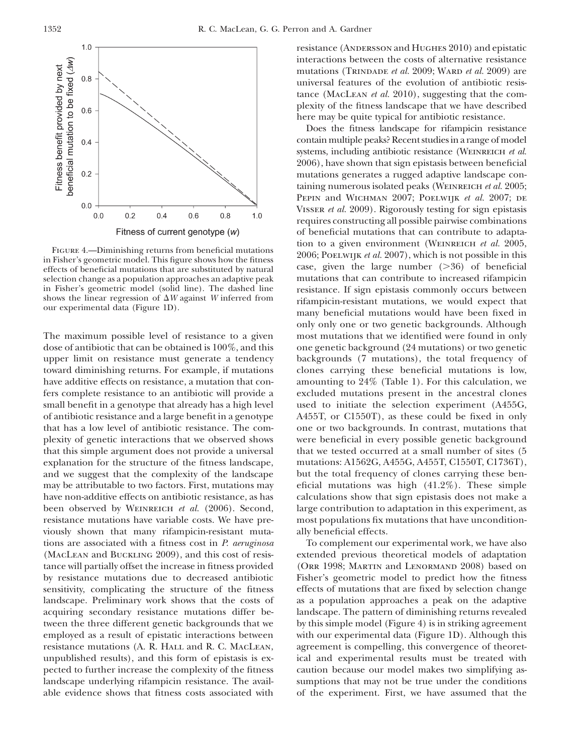

Figure 4.—Diminishing returns from beneficial mutations in Fisher's geometric model. This figure shows how the fitness effects of beneficial mutations that are substituted by natural selection change as a population approaches an adaptive peak in Fisher's geometric model (solid line). The dashed line shows the linear regression of  $\Delta W$  against W inferred from our experimental data (Figure 1D).

The maximum possible level of resistance to a given dose of antibiotic that can be obtained is 100%, and this upper limit on resistance must generate a tendency toward diminishing returns. For example, if mutations have additive effects on resistance, a mutation that confers complete resistance to an antibiotic will provide a small benefit in a genotype that already has a high level of antibiotic resistance and a large benefit in a genotype that has a low level of antibiotic resistance. The complexity of genetic interactions that we observed shows that this simple argument does not provide a universal explanation for the structure of the fitness landscape, and we suggest that the complexity of the landscape may be attributable to two factors. First, mutations may have non-additive effects on antibiotic resistance, as has been observed by WEINREICH et al. (2006). Second, resistance mutations have variable costs. We have previously shown that many rifampicin-resistant mutations are associated with a fitness cost in P. aeruginosa (MacLean and Buckling 2009), and this cost of resistance will partially offset the increase in fitness provided by resistance mutations due to decreased antibiotic sensitivity, complicating the structure of the fitness landscape. Preliminary work shows that the costs of acquiring secondary resistance mutations differ between the three different genetic backgrounds that we employed as a result of epistatic interactions between resistance mutations (A. R. Hall and R. C. MacLean, unpublished results), and this form of epistasis is expected to further increase the complexity of the fitness landscape underlying rifampicin resistance. The available evidence shows that fitness costs associated with resistance (ANDERSSON and HUGHES 2010) and epistatic interactions between the costs of alternative resistance mutations (TRINDADE et al. 2009; WARD et al. 2009) are universal features of the evolution of antibiotic resistance (MacLean et al. 2010), suggesting that the complexity of the fitness landscape that we have described here may be quite typical for antibiotic resistance.

Does the fitness landscape for rifampicin resistance contain multiple peaks? Recent studies in a range of model systems, including antibiotic resistance (WEINREICH et al. 2006), have shown that sign epistasis between beneficial mutations generates a rugged adaptive landscape containing numerous isolated peaks (WEINREICH et al. 2005; PEPIN and WICHMAN 2007; POELWIJK et al. 2007; DE Visser et al. 2009). Rigorously testing for sign epistasis requires constructing all possible pairwise combinations of beneficial mutations that can contribute to adaptation to a given environment (WEINREICH et al. 2005, 2006; POELWIJK et al. 2007), which is not possible in this case, given the large number  $(>36)$  of beneficial mutations that can contribute to increased rifampicin resistance. If sign epistasis commonly occurs between rifampicin-resistant mutations, we would expect that many beneficial mutations would have been fixed in only only one or two genetic backgrounds. Although most mutations that we identified were found in only one genetic background (24 mutations) or two genetic backgrounds (7 mutations), the total frequency of clones carrying these beneficial mutations is low, amounting to 24% (Table 1). For this calculation, we excluded mutations present in the ancestral clones used to initiate the selection experiment (A455G, A455T, or C1550T), as these could be fixed in only one or two backgrounds. In contrast, mutations that were beneficial in every possible genetic background that we tested occurred at a small number of sites (5 mutations: A1562G, A455G, A455T, C1550T, C1736T), but the total frequency of clones carrying these beneficial mutations was high (41.2%). These simple calculations show that sign epistasis does not make a large contribution to adaptation in this experiment, as most populations fix mutations that have unconditionally beneficial effects.

To complement our experimental work, we have also extended previous theoretical models of adaptation (Orr 1998; Martin and Lenormand 2008) based on Fisher's geometric model to predict how the fitness effects of mutations that are fixed by selection change as a population approaches a peak on the adaptive landscape. The pattern of diminishing returns revealed by this simple model (Figure 4) is in striking agreement with our experimental data (Figure 1D). Although this agreement is compelling, this convergence of theoretical and experimental results must be treated with caution because our model makes two simplifying assumptions that may not be true under the conditions of the experiment. First, we have assumed that the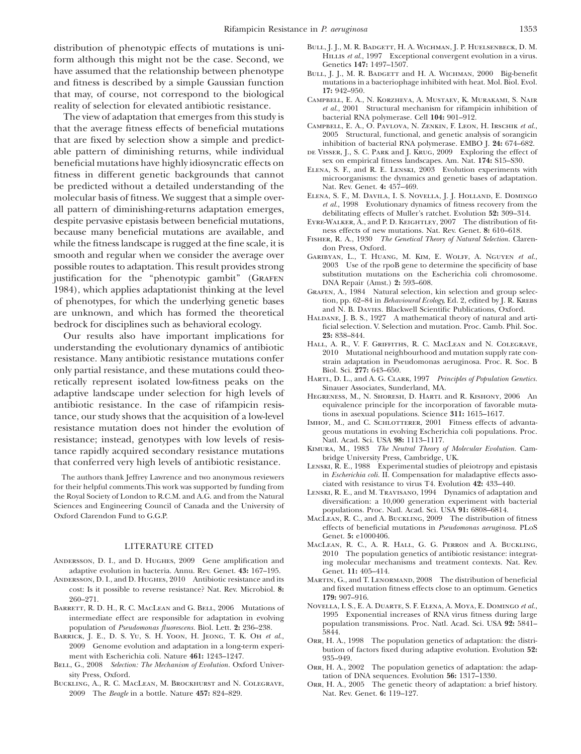distribution of phenotypic effects of mutations is uniform although this might not be the case. Second, we have assumed that the relationship between phenotype and fitness is described by a simple Gaussian function that may, of course, not correspond to the biological reality of selection for elevated antibiotic resistance.

The view of adaptation that emerges from this study is that the average fitness effects of beneficial mutations that are fixed by selection show a simple and predictable pattern of diminishing returns, while individual beneficial mutations have highly idiosyncratic effects on fitness in different genetic backgrounds that cannot be predicted without a detailed understanding of the molecular basis of fitness. We suggest that a simple overall pattern of diminishing-returns adaptation emerges, despite pervasive epistasis between beneficial mutations, because many beneficial mutations are available, and while the fitness landscape is rugged at the fine scale, it is smooth and regular when we consider the average over possible routes to adaptation. This result provides strong justification for the "phenotypic gambit" (GRAFEN 1984), which applies adaptationist thinking at the level of phenotypes, for which the underlying genetic bases are unknown, and which has formed the theoretical bedrock for disciplines such as behavioral ecology.

Our results also have important implications for understanding the evolutionary dynamics of antibiotic resistance. Many antibiotic resistance mutations confer only partial resistance, and these mutations could theoretically represent isolated low-fitness peaks on the adaptive landscape under selection for high levels of antibiotic resistance. In the case of rifampicin resistance, our study shows that the acquisition of a low-level resistance mutation does not hinder the evolution of resistance; instead, genotypes with low levels of resistance rapidly acquired secondary resistance mutations that conferred very high levels of antibiotic resistance.

The authors thank Jeffrey Lawrence and two anonymous reviewers for their helpful comments.This work was supported by funding from the Royal Society of London to R.C.M. and A.G. and from the Natural Sciences and Engineering Council of Canada and the University of Oxford Clarendon Fund to G.G.P.

#### LITERATURE CITED

- ANDERSSON, D. I., and D. HUGHES, 2009 Gene amplification and adaptive evolution in bacteria. Annu. Rev. Genet. 43: 167–195.
- ANDERSSON, D. I., and D. HUGHES, 2010 Antibiotic resistance and its cost: Is it possible to reverse resistance? Nat. Rev. Microbiol. 8: 260–271.
- BARRETT, R. D. H., R. C. MACLEAN and G. BELL, 2006 Mutations of intermediate effect are responsible for adaptation in evolving population of Pseudomonas fluorescens. Biol. Lett. 2: 236-238.
- BARRICK, J. E., D. S. Yu, S. H. YOON, H. JEONG, T. K. OH et al., 2009 Genome evolution and adaptation in a long-term experiment with Escherichia coli. Nature 461: 1243–1247.
- BELL, G., 2008 Selection: The Mechanism of Evolution. Oxford University Press, Oxford.
- Buckling, A., R. C. MacLean, M. Brockhurst and N. Colegrave, 2009 The Beagle in a bottle. Nature 457: 824-829.
- Bull, J. J., M. R. Badgett, H. A. Wichman, J. P. Huelsenbeck, D. M. HILLIS et al., 1997 Exceptional convergent evolution in a virus. Genetics 147: 1497–1507.
- BULL, J. J., M. R. BADGETT and H. A. WICHMAN, 2000 Big-benefit mutations in a bacteriophage inhibited with heat. Mol. Biol. Evol. 17: 942–950.
- Campbell, E. A., N. Korzheva, A. Mustaev, K. Murakami, S. Nair et al., 2001 Structural mechanism for rifampicin inhibition of bacterial RNA polymerase. Cell 104: 901–912.
- Campbell, E. A., O. Pavlova, N. Zenkin, F. Leon, H. Irschik et al., 2005 Structural, functional, and genetic analysis of sorangicin inhibition of bacterial RNA polymerase. EMBO J. 24: 674–682.
- DE VISSER, J., S. C. PARK and J. KRUG, 2009 Exploring the effect of sex on empirical fitness landscapes. Am. Nat. 174: S15–S30.
- Elena, S. F., and R. E. Lenski, 2003 Evolution experiments with microorganisms: the dynamics and genetic bases of adaptation. Nat. Rev. Genet. 4: 457–469.
- Elena, S. F., M. Davila, I. S. Novella, J. J. Holland, E. Domingo et al., 1998 Evolutionary dynamics of fitness recovery from the debilitating effects of Muller's ratchet. Evolution 52: 309–314.
- EYRE-WALKER, A., and P. D. KEIGHTLEY, 2007 The distribution of fitness effects of new mutations. Nat. Rev. Genet. 8: 610–618.
- Fisher, R. A., 1930 The Genetical Theory of Natural Selection. Clarendon Press, Oxford.
- Garibyan, L., T. Huang, M. Kim, E. Wolff, A. Nguyen et al., 2003 Use of the rpoB gene to determine the specificity of base substitution mutations on the Escherichia coli chromosome. DNA Repair (Amst.) 2: 593–608.
- GRAFEN, A., 1984 Natural selection, kin selection and group selection, pp. 62–84 in Behavioural Ecology, Ed. 2, edited by J. R. KREBS and N. B. Davies. Blackwell Scientific Publications, Oxford.
- HALDANE, J. B. S., 1927 A mathematical theory of natural and artificial selection. V. Selection and mutation. Proc. Camb. Phil. Soc. 23: 838–844.
- Hall, A. R., V. F. Griffiths, R. C. MacLean and N. Colegrave, 2010 Mutational neighbourhood and mutation supply rate constrain adaptation in Pseudomonas aeruginosa. Proc. R. Soc. B Biol. Sci. 277: 643–650.
- HARTL, D. L., and A. G. CLARK, 1997 Principles of Population Genetics. Sinauer Associates, Sunderland, MA.
- Hegreness, M., N. Shoresh, D. Hartl and R. Kishony, 2006 An equivalence principle for the incorporation of favorable mutations in asexual populations. Science 311: 1615–1617.
- IMHOF, M., and C. SCHLOTTERER, 2001 Fitness effects of advantageous mutations in evolving Escherichia coli populations. Proc. Natl. Acad. Sci. USA 98: 1113–1117.
- Kimura, M., 1983 The Neutral Theory of Molecular Evolution. Cambridge University Press, Cambridge, UK.
- Lenski, R. E., 1988 Experimental studies of pleiotropy and epistasis in Escherichia coli. II. Compensation for maladaptive effects associated with resistance to virus T4. Evolution 42: 433–440.
- Lenski, R. E., and M. Travisano, 1994 Dynamics of adaptation and diversification: a 10,000 generation experiment with bacterial populations. Proc. Natl. Acad. Sci. USA 91: 6808–6814.
- MacLean, R. C., and A. Buckling, 2009 The distribution of fitness effects of beneficial mutations in Pseudomonas aeruginosa. PLoS Genet. 5: e1000406.
- MacLean, R. C., A. R. Hall, G. G. Perron and A. Buckling, 2010 The population genetics of antibiotic resistance: integrating molecular mechanisms and treatment contexts. Nat. Rev. Genet. 11: 405–414.
- MARTIN, G., and T. LENORMAND, 2008 The distribution of beneficial and fixed mutation fitness effects close to an optimum. Genetics 179: 907–916.
- Novella, I. S., E. A. Duarte, S. F. Elena, A. Moya, E. Domingo et al., 1995 Exponential increases of RNA virus fitness during large population transmissions. Proc. Natl. Acad. Sci. USA 92: 5841– 5844.
- ORR, H. A., 1998 The population genetics of adaptation: the distribution of factors fixed during adaptive evolution. Evolution 52: 935–949.
- Orr, H. A., 2002 The population genetics of adaptation: the adaptation of DNA sequences. Evolution 56: 1317–1330.
- ORR, H. A., 2005 The genetic theory of adaptation: a brief history. Nat. Rev. Genet. 6: 119–127.